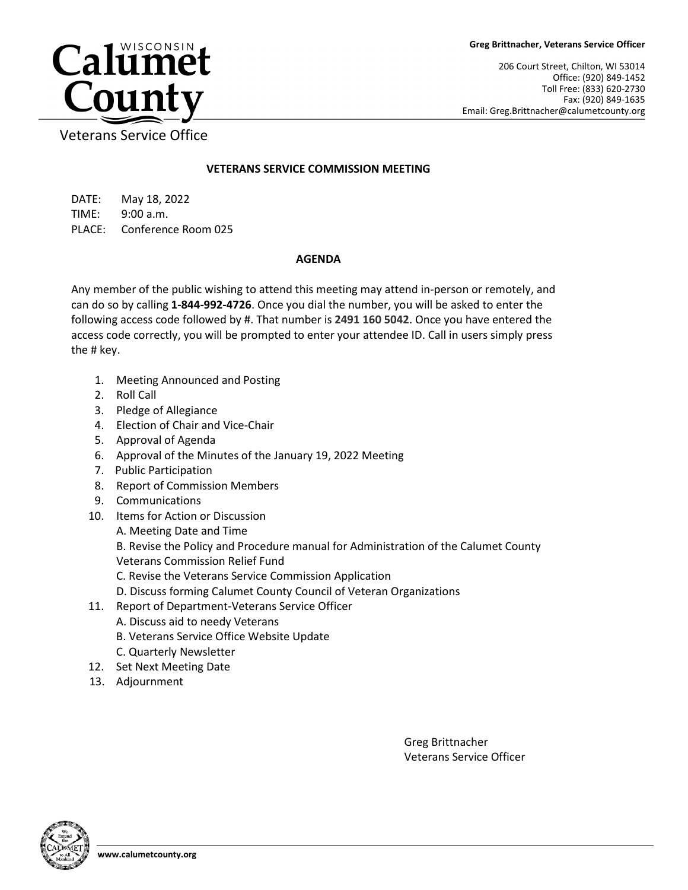206 Court Street, Chilton, WI 53014 Office: (920) 849-1452 Toll Free: (833) 620-2730 Fax: (920) 849-1635 Email: Greg.Brittnacher@calumetcounty.org



Veterans Service Office

## **VETERANS SERVICE COMMISSION MEETING**

DATE: May 18, 2022 TIME: 9:00 a.m. PLACE: Conference Room 025

## **AGENDA**

Any member of the public wishing to attend this meeting may attend in-person or remotely, and can do so by calling **1-844-992-4726**. Once you dial the number, you will be asked to enter the following access code followed by #. That number is **2491 160 5042**. Once you have entered the access code correctly, you will be prompted to enter your attendee ID. Call in users simply press the # key.

- 1. Meeting Announced and Posting
- 2. Roll Call
- 3. Pledge of Allegiance
- 4. Election of Chair and Vice-Chair
- 5. Approval of Agenda
- 6. Approval of the Minutes of the January 19, 2022 Meeting
- 7. Public Participation
- 8. Report of Commission Members
- 9. Communications
- 10. Items for Action or Discussion
	- A. Meeting Date and Time

B. Revise the Policy and Procedure manual for Administration of the Calumet County Veterans Commission Relief Fund

- C. Revise the Veterans Service Commission Application
- D. Discuss forming Calumet County Council of Veteran Organizations
- 11. Report of Department-Veterans Service Officer
	- A. Discuss aid to needy Veterans
	- B. Veterans Service Office Website Update
	- C. Quarterly Newsletter
- 12. Set Next Meeting Date
- 13. Adjournment

Greg Brittnacher Veterans Service Officer